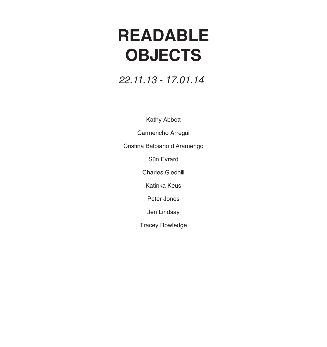### **READABLE OBJECTS**

### *22.11.13 - 17.01.14*

Kathy Abbott

Carmencho Arregui

Cristina Balbiano d'Aramengo

Sün Evrard

Charles Gledhill

Katinka Keus

Peter Jones

Jen Lindsay

Tracey Rowledge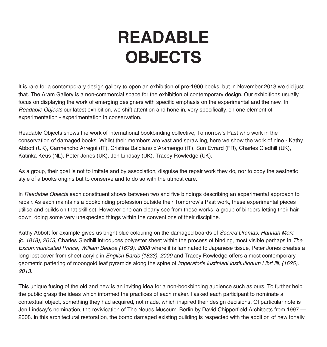### **READABLE OBJECTS**

It is rare for a contemporary design gallery to open an exhibition of pre-1900 books, but in November 2013 we did just that. The Aram Gallery is a non-commercial space for the exhibition of contemporary design. Our exhibitions usually focus on displaying the work of emerging designers with specific emphasis on the experimental and the new. In *Readable Objects* our latest exhibition, we shift attention and hone in, very specifically, on one element of experimentation - experimentation in conservation.

Readable Objects shows the work of International bookbinding collective, Tomorrow's Past who work in the conservation of damaged books. Whilst their members are vast and sprawling, here we show the work of nine - Kathy Abbott (UK), Carmencho Arregui (IT), Cristina Balbiano d'Aramengo (IT), Sun Evrard (FR), Charles Gledhill (UK), Katinka Keus (NL), Peter Jones (UK), Jen Lindsay (UK), Tracey Rowledge (UK).

As a group, their goal is not to imitate and by association, disguise the repair work they do, nor to copy the aesthetic style of a books origins but to conserve and to do so with the utmost care.

In *Readable Objects* each constituent shows between two and five bindings describing an experimental approach to repair. As each maintains a bookbinding profession outside their Tomorrow's Past work, these experimental pieces utilise and builds on that skill set. However one can clearly see from these works, a group of binders letting their hair down, doing some very unexpected things within the conventions of their discipline.

Kathy Abbott for example gives us bright blue colouring on the damaged boards of *Sacred Dramas, Hannah More (c. 1818), 2013*, Charles Gledhill introduces polyester sheet within the process of binding, most visible perhaps in *The Excommunicated Prince, William Bedloe (1679), 2008* where it is laminated to Japanese tissue, Peter Jones creates a long lost cover from sheet acrylic in *English Bards (1823), 2009* and Tracey Rowledge offers a most contemporary geometric pattering of moongold leaf pyramids along the spine of *Imperatoris Iustiniani Institutionum Libri IIII, (1625), 2013.* 

This unique fusing of the old and new is an inviting idea for a non-bookbinding audience such as ours. To further help the public grasp the ideas which informed the practices of each maker, I asked each participant to nominate a contextual object, something they had acquired, not made, which inspired their design decisions. Of particular note is Jen Lindsay's nomination, the revivication of The Neues Museum, Berlin by David Chipperfield Architects from 1997 — 2008. In this architectural restoration, the bomb damaged existing building is respected with the addition of new tonally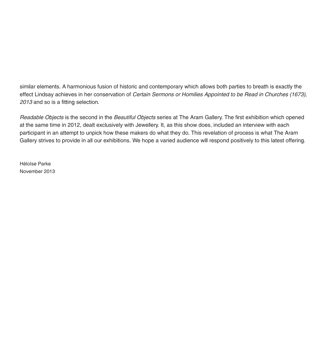similar elements. A harmonious fusion of historic and contemporary which allows both parties to breath is exactly the effect Lindsay achieves in her conservation of *Certain Sermons or Homilies Appointed to be Read in Churches (1673), 2013* and so is a fitting selection.

*Readable Objects* is the second in the *Beautiful Objects* series at The Aram Gallery. The first exhibition which opened at the same time in 2012, dealt exclusively with Jewellery. It, as this show does, included an interview with each participant in an attempt to unpick how these makers do what they do. This revelation of process is what The Aram Gallery strives to provide in all our exhibitions. We hope a varied audience will respond positively to this latest offering.

Héloïse Parke November 2013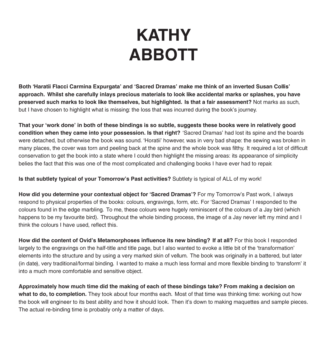# **KATHY ABBOTT**

**Both 'Haratii Flacci Carmina Expurgata' and 'Sacred Dramas' make me think of an inverted Susan Collis' approach. Whilst she carefully inlays precious materials to look like accidental marks or splashes, you have preserved such marks to look like themselves, but highlighted. Is that a fair assessment?** Not marks as such, but I have chosen to highlight what is missing: the loss that was incurred during the book's journey.

**That your 'work done' in both of these bindings is so subtle, suggests these books were in relatively good condition when they came into your possession. Is that right?** 'Sacred Dramas' had lost its spine and the boards were detached, but otherwise the book was sound. 'Horatii' however, was in very bad shape: the sewing was broken in many places, the cover was torn and peeling back at the spine and the whole book was filthy. It required a lot of difficult conservation to get the book into a state where I could then highlight the missing areas: its appearance of simplicity belies the fact that this was one of the most complicated and challenging books I have ever had to repair.

**Is that subtlety typical of your Tomorrow's Past activities?** Subtlety is typical of ALL of my work!

**How did you determine your contextual object for 'Sacred Dramas'?** For my Tomorrow's Past work, I always respond to physical properties of the books: colours, engravings, form, etc. For 'Sacred Dramas' I responded to the colours found in the edge marbling. To me, these colours were hugely reminiscent of the colours of a Jay bird (which happens to be my favourite bird). Throughout the whole binding process, the image of a Jay never left my mind and I think the colours I have used, reflect this.

**How did the content of Ovid's Metamorphoses influence its new binding? If at all?** For this book I responded largely to the engravings on the half-title and title page, but I also wanted to evoke a little bit of the 'transformation' elements into the structure and by using a very marked skin of vellum. The book was originally in a battered, but later (in date), very traditional/formal binding. I wanted to make a much less formal and more flexible binding to 'transform' it into a much more comfortable and sensitive object.

**Approximately how much time did the making of each of these bindings take? From making a decision on what to do, to completion.** They took about four months each. Most of that time was thinking time: working out how the book will engineer to its best ability and how it should look. Then it's down to making maquettes and sample pieces. The actual re-binding time is probably only a matter of days.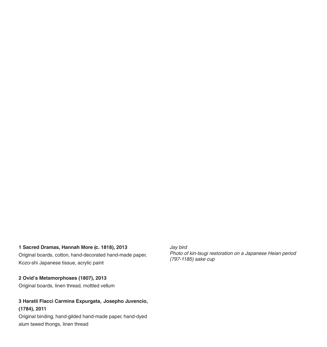#### **1 Sacred Dramas, Hannah More (c. 1818), 2013**

Original boards, cotton, hand-decorated hand-made paper, Kozo-shi Japanese tissue, acrylic paint

**2 Ovid's Metamorphoses (1807), 2013** Original boards, linen thread, mottled vellum

#### **3 Haratii Flacci Carmina Expurgata, Josepho Juvencio, (1784), 2011**

Original binding, hand-gilded hand-made paper, hand-dyed alum tawed thongs, linen thread

*Jay bird Photo of kin-tsugi restoration on a Japanese Heian period (797-1185) sake cup*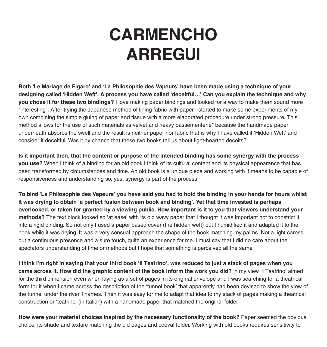### **CARMENCHO ARREGUI**

**Both 'Le Mariage de Figaro' and 'La Philosophie des Vapeurs' have been made using a technique of your designing called 'Hidden Weft'. A process you have called 'deceitful…' Can you explain the technique and why you chose it for these two bindings?** I love making paper bindings and looked for a way to make them sound more "interesting". After trying the Japanese method of lining fabric with paper I started to make some experiments of my own combining the simple gluing of paper and tissue with a more elaborated procedure under strong pressure. This method allows for the use of such materials as velvet and heavy passementerie\* because the handmade paper underneath absorbs the swell and the result is neither paper nor fabric that is why I have called it 'Hidden Weft' and consider it deceitful. Was it by chance that these two books tell us about light-hearted deceits?

**Is it important then, that the content or purpose of the intended binding has some synergy with the process you use?** When I think of a binding for an old book I think of its cultural content and its physical appearance that has been transformed by circumstances and time. An old book is a unique piece and working with it means to be capable of responsiveness and understanding so, yes, synergy is part of the process.

**To bind 'La Philosophie des Vapeurs' you have said you had to hold the binding in your hands for hours whilst it was drying to obtain 'a perfect fusion between book and binding'. Yet that time invested is perhaps overlooked, or taken for granted by a viewing public. How important is it to you that viewers understand your methods?** The text block looked so 'at ease' with its old wavy paper that I thought it was important not to constrict it into a rigid binding. So not only I used a paper based cover (the hidden weft) but I humidified it and adapted it to the book while it was drying. It was a very sensual approach the shape of the book matching my palms. Not a light caress but a continuous presence and a sure touch, quite an experience for me. I must say that I did no care about the spectators understanding of time or methods but I hope that something is perceived all the same.

**I think I'm right in saying that your third book 'Il Teatrino', was reduced to just a stack of pages when you came across it. How did the graphic content of the book inform the work you did?** In my view 'Il Teatrino' aimed for the third dimension even when laying as a set of pages in its original envelope and I was searching for a theatrical form for it when I came across the description of the 'tunnel book' that apparently had been devised to show the view of the tunnel under the river Thames. Then it was easy for me to adapt that idea to my stack of pages making a theatrical construction or 'teatrino' (in Italian) with a handmade paper that matched the original folder.

**How were your material choices inspired by the necessary functionality of the book?** Paper seemed the obvious choice, its shade and texture matching the old pages and coeval folder. Working with old books requires sensitivity to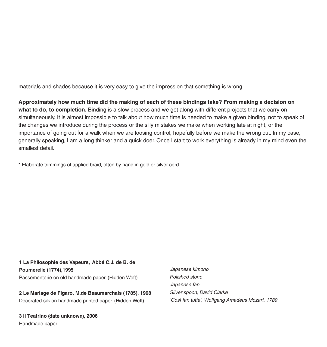materials and shades because it is very easy to give the impression that something is wrong.

**Approximately how much time did the making of each of these bindings take? From making a decision on what to do, to completion.** Binding is a slow process and we get along with different projects that we carry on simultaneously. It is almost impossible to talk about how much time is needed to make a given binding, not to speak of the changes we introduce during the process or the silly mistakes we make when working late at night, or the importance of going out for a walk when we are loosing control, hopefully before we make the wrong cut. In my case, generally speaking, I am a long thinker and a quick doer. Once I start to work everything is already in my mind even the smallest detail.

\* Elaborate trimmings of applied braid, often by hand in gold or silver cord

**1 La Philosophie des Vapeurs, Abbé C.J. de B. de Poumerelle (1774),1995** Passementerie on old handmade paper (Hidden Weft)

**2 Le Mariage de Figaro, M.de Beaumarchais (1785), 1998** Decorated silk on handmade printed paper (Hidden Weft)

**3 Il Teatrino (date unknown), 2006** Handmade paper

*Japanese kimono Polished stone Japanese fan Silver spoon, David Clarke 'Così fan tutte', Wolfgang Amadeus Mozart, 1789*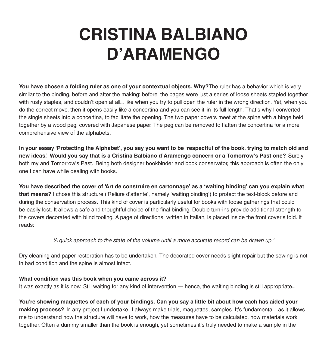### **CRISTINA BALBIANO D'ARAMENGO**

**You have chosen a folding ruler as one of your contextual objects. Why?**The ruler has a behavior which is very similar to the binding, before and after the making: before, the pages were just a series of loose sheets stapled together with rusty staples, and couldn't open at all... like when you try to pull open the ruler in the wrong direction. Yet, when you do the correct move, then it opens easily like a concertina and you can see it in its full length. That's why I converted the single sheets into a concertina, to facilitate the opening. The two paper covers meet at the spine with a hinge held together by a wood peg, covered with Japanese paper. The peg can be removed to flatten the concertina for a more comprehensive view of the alphabets.

**In your essay 'Protecting the Alphabet', you say you want to be 'respectful of the book, trying to match old and new ideas.' Would you say that is a Cristina Balbiano d'Aramengo concern or a Tomorrow's Past one?** Surely both my and Tomorrow's Past. Being both designer bookbinder and book conservator, this approach is often the only one I can have while dealing with books.

**You have described the cover of 'Art de construire en cartonnage' as a 'waiting binding' can you explain what that means?** I chose this structure ('Reliure d'attente', namely 'waiting binding') to protect the text-block before and during the conservation process. This kind of cover is particularly useful for books with loose gatherings that could be easily lost. It allows a safe and thoughtful choice of the final binding. Double turn-ins provide additional strength to the covers decorated with blind tooling. A page of directions, written in Italian, is placed inside the front cover's fold. It reads:

*'A quick approach to the state of the volume until a more accurate record can be drawn up.'*

Dry cleaning and paper restoration has to be undertaken. The decorated cover needs slight repair but the sewing is not in bad condition and the spine is almost intact.

#### **What condition was this book when you came across it?**

It was exactly as it is now. Still waiting for any kind of intervention — hence, the waiting binding is still appropriate...

**You're showing maquettes of each of your bindings. Can you say a little bit about how each has aided your making process?** In any project I undertake, I always make trials, maquettes, samples. It's fundamental , as it allows me to understand how the structure will have to work, how the measures have to be calculated, how materials work together. Often a dummy smaller than the book is enough, yet sometimes it's truly needed to make a sample in the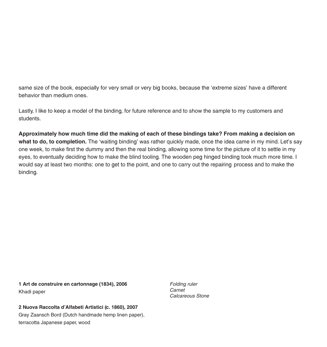same size of the book, especially for very small or very big books, because the 'extreme sizes' have a different behavior than medium ones.

Lastly, I like to keep a model of the binding, for future reference and to show the sample to my customers and students.

**Approximately how much time did the making of each of these bindings take? From making a decision on what to do, to completion.** The 'waiting binding' was rather quickly made, once the idea came in my mind. Let's say one week, to make first the dummy and then the real binding, allowing some time for the picture of it to settle in my eyes, to eventually deciding how to make the blind tooling. The wooden peg hinged binding took much more time. I would say at least two months: one to get to the point, and one to carry out the repairing process and to make the binding.

**1 Art de construire en cartonnage (1834), 2006** Khadi paper

**2 Nuova Raccolta d'Alfabeti Artistici (c. 1860), 2007** Gray Zaansch Bord (Dutch handmade hemp linen paper), terracotta Japanese paper, wood

*Folding ruler Carnet Calcareous Stone*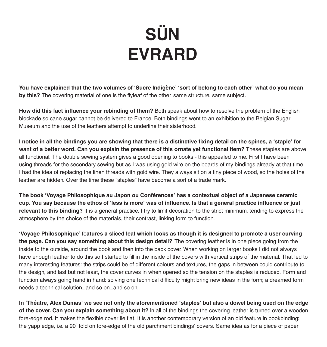# **SÜN EVRARD**

**You have explained that the two volumes of 'Sucre Indigène' 'sort of belong to each other' what do you mean by this?** The covering material of one is the flyleaf of the other, same structure, same subject.

**How did this fact influence your rebinding of them?** Both speak about how to resolve the problem of the English blockade so cane sugar cannot be delivered to France. Both bindings went to an exhibition to the Belgian Sugar Museum and the use of the leathers attempt to underline their sisterhood.

**I notice in all the bindings you are showing that there is a distinctive fixing detail on the spines, a 'staple' for want of a better word. Can you explain the presence of this ornate yet functional item?** These staples are above all functional. The double sewing system gives a good opening to books - this appealed to me. First I have been using threads for the secondary sewing but as I was using gold wire on the boards of my bindings already at that time I had the idea of replacing the linen threads with gold wire. They always sit on a tiny piece of wood, so the holes of the leather are hidden. Over the time these "staples" have become a sort of a trade mark.

**The book 'Voyage Philosophique au Japon ou Conférences' has a contextual object of a Japanese ceramic cup. You say because the ethos of 'less is more' was of influence. Is that a general practice influence or just relevant to this binding?** It is a general practice. I try to limit decoration to the strict minimum, tending to express the atmosphere by the choice of the materials, their contrast, linking form to function.

**'Voyage Philosophique'** fe**atures a sliced leaf which looks as though it is designed to promote a user curving the page. Can you say something about this design detail?** The covering leather is in one piece going from the inside to the outside, around the book and then into the back cover. When working on larger books I did not always have enough leather to do this so I started to fill in the inside of the covers with vertical strips of the material. That led to many interesting features: the strips could be of different colours and textures, the gaps in between could contribute to the design, and last but not least, the cover curves in when opened so the tension on the staples is reduced. Form and function always going hand in hand: solving one technical difficulty might bring new ideas in the form; a dreamed form needs a technical solution...and so on...and so on..

**In 'Théatre, Alex Dumas' we see not only the aforementioned 'staples' but also a dowel being used on the edge of the cover. Can you explain something about it?** In all of the bindings the covering leather is turned over a wooden fore-edge rod. It makes the flexible cover lie flat. It is another contemporary version of an old feature in bookbinding: the yapp edge, i.e. a 90° fold on fore-edge of the old parchment bindings' covers. Same idea as for a piece of paper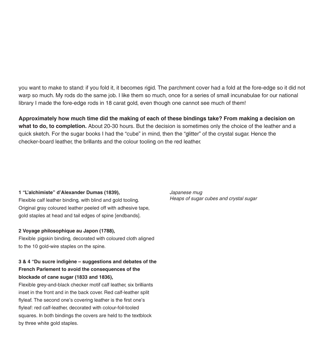you want to make to stand: if you fold it, it becomes rigid. The parchment cover had a fold at the fore-edge so it did not warp so much. My rods do the same job. I like them so much, once for a series of small incunabulae for our national library I made the fore-edge rods in 18 carat gold, even though one cannot see much of them!

**Approximately how much time did the making of each of these bindings take? From making a decision on what to do, to completion.** About 20-30 hours. But the decision is sometimes only the choice of the leather and a quick sketch. For the sugar books I had the "cube" in mind, then the "glitter" of the crystal sugar. Hence the checker-board leather, the brillants and the colour tooling on the red leather.

#### **1 "L'alchimiste" d'Alexander Dumas (1839),**

Flexible calf leather binding, with blind and gold tooling. Original gray coloured leather peeled off with adhesive tape, gold staples at head and tail edges of spine [endbands].

#### **2 Voyage philosophique au Japon (1788),**

Flexible pigskin binding, decorated with coloured cloth aligned to the 10 gold-wire staples on the spine.

#### **3 & 4 "Du sucre indigène — suggestions and debates of the French Parlement to avoid the consequences of the blockade of cane sugar (1833 and 1836),**

Flexible grey-and-black checker motif calf leather, six brilliants inset in the front and in the back cover. Red calf-leather split flyleaf. The second one's covering leather is the first one's flyleaf: red calf-leather, decorated with colour-foil-tooled squares. In both bindings the covers are held to the textblock by three white gold staples.

*Japanese mug Heaps of sugar cubes and crystal sugar*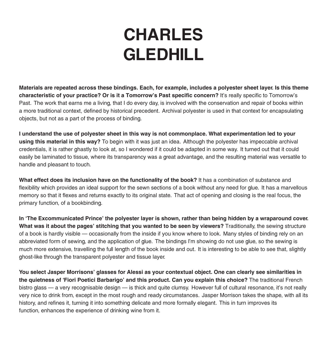## **CHARLES GLEDHILL**

**Materials are repeated across these bindings. Each, for example, includes a polyester sheet layer. Is this theme characteristic of your practice? Or is it a Tomorrow's Past specific concern?** It's really specific to Tomorrow's Past. The work that earns me a living, that I do every day, is involved with the conservation and repair of books within a more traditional context, defined by historical precedent. Archival polyester is used in that context for encapsulating objects, but not as a part of the process of binding.

**I understand the use of polyester sheet in this way is not commonplace. What experimentation led to your using this material in this way?** To begin with it was just an idea. Although the polyester has impeccable archival credentials, it is rather ghastly to look at, so I wondered if it could be adapted in some way. It turned out that it could easily be laminated to tissue, where its transparency was a great advantage, and the resulting material was versatile to handle and pleasant to touch.

**What effect does its inclusion have on the functionality of the book?** It has a combination of substance and flexibility which provides an ideal support for the sewn sections of a book without any need for glue. It has a marvellous memory so that it flexes and returns exactly to its original state. That act of opening and closing is the real focus, the primary function, of a bookbinding.

**In 'The Excommunicated Prince' the polyester layer is shown, rather than being hidden by a wraparound cover. What was it about the pages' stitching that you wanted to be seen by viewers?** Traditionally, the sewing structure of a book is hardly visible – occasionally from the inside if you know where to look. Many styles of binding rely on an abbreviated form of sewing, and the application of glue. The bindings I'm showing do not use glue, so the sewing is much more extensive, travelling the full length of the book inside and out. It is interesting to be able to see that, slightly ghost-like through the transparent polyester and tissue layer.

**You select Jasper Morrisons' glasses for Alessi as your contextual object. One can clearly see similarities in the quietness of 'Fiori Poetici Barbarigo' and this product. Can you explain this choice?** The traditional French bistro glass – a very recognisable design – is thick and quite clumsy. However full of cultural resonance, it's not really very nice to drink from, except in the most rough and ready circumstances. Jasper Morrison takes the shape, with all its history, and refines it, turning it into something delicate and more formally elegant. This in turn improves its function, enhances the experience of drinking wine from it.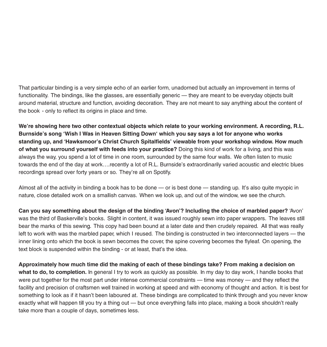That particular binding is a very simple echo of an earlier form, unadorned but actually an improvement in terms of functionality. The bindings, like the glasses, are essentially generic — they are meant to be everyday objects built around material, structure and function, avoiding decoration. They are not meant to say anything about the content of the book - only to reflect its origins in place and time.

**We're showing here two other contextual objects which relate to your working environment. A recording, R.L. Burnside's song 'Wish I Was in Heaven Sitting Down' which you say says a lot for anyone who works standing up, and 'Hawksmoor's Christ Church Spitalfields' viewable from your workshop window. How much of what you surround yourself with feeds into your practice?** Doing this kind of work for a living, and this was always the way, you spend a lot of time in one room, surrounded by the same four walls. We often listen to music towards the end of the day at work….recently a lot of R.L. Burnside's extraordinarily varied acoustic and electric blues recordings spread over forty years or so. They're all on Spotify.

Almost all of the activity in binding a book has to be done — or is best done — standing up. It's also quite myopic in nature, close detailed work on a smallish canvas. When we look up, and out of the window, we see the church.

**Can you say something about the design of the binding 'Avon'? Including the choice of marbled paper?** 'Avon' was the third of Baskerville's books. Slight in content, it was issued roughly sewn into paper wrappers. The leaves still bear the marks of this sewing. This copy had been bound at a later date and then crudely repaired. All that was really left to work with was the marbled paper, which I reused. The binding is constructed in two interconnected layers – the inner lining onto which the book is sewn becomes the cover, the spine covering becomes the flyleaf. On opening, the text block is suspended within the binding - or at least, that's the idea.

**Approximately how much time did the making of each of these bindings take? From making a decision on what to do, to completion.** In general I try to work as quickly as possible. In my day to day work, I handle books that were put together for the most part under intense commercial constraints — time was money — and they reflect the facility and precision of craftsmen well trained in working at speed and with economy of thought and action. It is best for something to look as if it hasn't been laboured at. These bindings are complicated to think through and you never know exactly what will happen till you try a thing out — but once everything falls into place, making a book shouldn't really take more than a couple of days, sometimes less.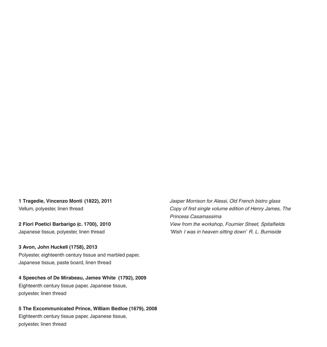**1 Tragedie, Vincenzo Monti (1822), 2011**  Vellum, polyester, linen thread

**2 Fiori Poetici Barbarigo (c. 1700), 2010** Japanese tissue, polyester, linen thread

**3 Avon, John Huckell (1758), 2013** Polyester, eighteenth century tissue and marbled paper, Japanese tissue, paste board, linen thread

#### **4 Speeches of De Mirabeau, James White (1792), 2009** Eighteenth century tissue paper, Japanese tissue,

polyester, linen thread

### **5 The Excommunicated Prince, William Bedloe (1679), 2008**

Eighteenth century tissue paper, Japanese tissue, polyester, linen thread

*Jasper Morrison for Alessi, Old French bistro glass Copy of first single volume edition of Henry James, The Princess Casamassima View from the workshop, Fournier Street, Spitalfields 'Wish I was in heaven sitting down' R. L. Burniside*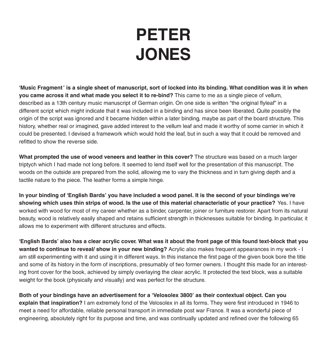### **PETER JONES**

**'Music Fragment ' is a single sheet of manuscript, sort of locked into its binding. What condition was it in when you came across it and what made you select it to re-bind?** This came to me as a single piece of vellum, described as a 13th century music manuscript of German origin. On one side is written "the original flyleaf" in a different script which might indicate that it was included in a binding and has since been liberated. Quite possibly the origin of the script was ignored and it became hidden within a later binding, maybe as part of the board structure. This history, whether real or imagined, gave added interest to the vellum leaf and made it worthy of some carrier in which it could be presented. I devised a framework which would hold the leaf, but in such a way that it could be removed and refitted to show the reverse side.

**What prompted the use of wood veneers and leather in this cover?** The structure was based on a much larger triptych which I had made not long before. It seemed to lend itself well for the presentation of this manuscript. The woods on the outside are prepared from the solid, allowing me to vary the thickness and in turn giving depth and a tactile nature to the piece. The leather forms a simple hinge.

**In your binding of 'English Bards' you have included a wood panel. It is the second of your bindings we're showing which uses thin strips of wood. Is the use of this material characteristic of your practice?** Yes. I have worked with wood for most of my career whether as a binder, carpenter, joiner or furniture restorer. Apart from its natural beauty, wood is relatively easily shaped and retains sufficient strength in thicknesses suitable for binding. In particular, it allows me to experiment with different structures and effects.

**'English Bards' also has a clear acrylic cover. What was it about the front page of this found text-block that you wanted to continue to reveal/ show in your new binding?** Acrylic also makes frequent appearances in my work - I am still experimenting with it and using it in different ways. In this instance the first page of the given book bore the title and some of its history in the form of inscriptions, presumably of two former owners. I thought this made for an interesting front cover for the book, achieved by simply overlaying the clear acrylic. It protected the text block, was a suitable weight for the book (physically and visually) and was perfect for the structure.

**Both of your bindings have an advertisement for a 'Velosolex 3800' as their contextual object. Can you explain that inspiration?** I am extremely fond of the Velosolex in all its forms. They were first introduced in 1946 to meet a need for affordable, reliable personal transport in immediate post war France. It was a wonderful piece of engineering, absolutely right for its purpose and time, and was continually updated and refined over the following 65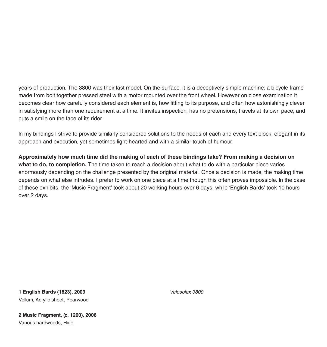years of production. The 3800 was their last model. On the surface, it is a deceptively simple machine: a bicycle frame made from bolt together pressed steel with a motor mounted over the front wheel. However on close examination it becomes clear how carefully considered each element is, how fitting to its purpose, and often how astonishingly clever in satisfying more than one requirement at a time. It invites inspection, has no pretensions, travels at its own pace, and puts a smile on the face of its rider.

In my bindings I strive to provide similarly considered solutions to the needs of each and every text block, elegant in its approach and execution, yet sometimes light-hearted and with a similar touch of humour.

**Approximately how much time did the making of each of these bindings take? From making a decision on what to do, to completion.** The time taken to reach a decision about what to do with a particular piece varies enormously depending on the challenge presented by the original material. Once a decision is made, the making time depends on what else intrudes. I prefer to work on one piece at a time though this often proves impossible. In the case of these exhibits, the 'Music Fragment' took about 20 working hours over 6 days, while 'English Bards' took 10 hours over 2 days.

**1 English Bards (1823), 2009** Vellum, Acrylic sheet, Pearwood *Velosolex 3800*

**2 Music Fragment, (c. 1200), 2006** Various hardwoods, Hide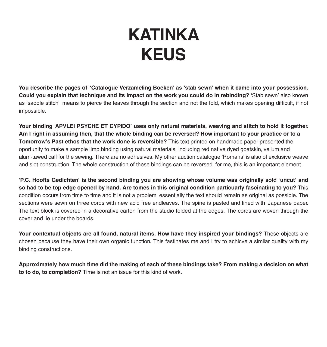### **KATINKA KEUS**

**You describe the pages of 'Catalogue Verzameling Boeken' as 'stab sewn' when it came into your possession. Could you explain that technique and its impact on the work you could do in rebinding?** 'Stab sewn' also known as 'saddle stitch' means to pierce the leaves through the section and not the fold, which makes opening difficult, if not impossible.

**Your binding 'APVLEI PSYCHE ET CYPIDO' uses only natural materials, weaving and stitch to hold it together. Am I right in assuming then, that the whole binding can be reversed? How important to your practice or to a Tomorrow's Past ethos that the work done is reversible?** This text printed on handmade paper presented the oportunity to make a sample limp binding using natural materials, including red native dyed goatskin, vellum and alum-tawed calf for the sewing. There are no adhesives. My other auction catalogue 'Romans' is also of exclusive weave and slot construction. The whole construction of these bindings can be reversed, for me, this is an important element.

**'P.C. Hoofts Gedichten' is the second binding you are showing whose volume was originally sold 'uncut' and so had to be top edge opened by hand. Are tomes in this original condition particuarly fascinating to you?** This condition occurs from time to time and it is not a problem, essentially the text should remain as original as possible. The sections were sewn on three cords with new acid free endleaves. The spine is pasted and lined with Japanese paper. The text block is covered in a decorative carton from the studio folded at the edges. The cords are woven through the cover and lie under the boards.

**Your contextual objects are all found, natural items. How have they inspired your bindings?** These objects are chosen because they have their own organic function. This fastinates me and I try to achicve a similar quality with my binding constructions.

**Approximately how much time did the making of each of these bindings take? From making a decision on what to to do, to completion?** Time is not an issue for this kind of work.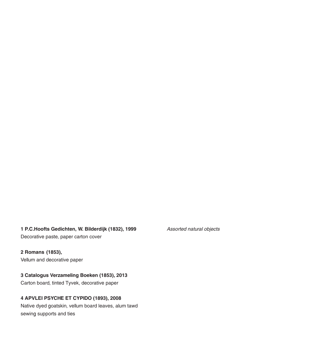### **1 P.C.Hoofts Gedichten, W. Bilderdijk (1832), 1999**

Decorative paste, paper carton cover

*Assorted natural objects*

**2 Romans (1853),**  Vellum and decorative paper

#### **3 Catalogus Verzameling Boeken (1853), 2013**

Carton board, tinted Tyvek, decorative paper

#### **4 APVLEI PSYCHE ET CYPIDO (1893), 2008**

Native dyed goatskin, vellum board leaves, alum tawd sewing supports and ties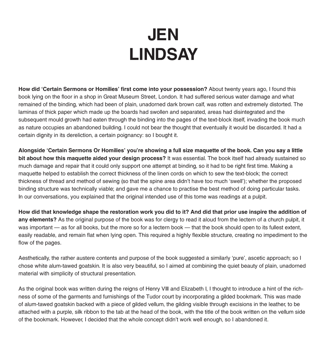## **JEN LINDSAY**

**How did 'Certain Sermons or Homilies' first come into your possession?** About twenty years ago, I found this book lying on the floor in a shop in Great Museum Street, London. It had suffered serious water damage and what remained of the binding, which had been of plain, unadorned dark brown calf, was rotten and extremely distorted. The laminas of thick paper which made up the boards had swollen and separated, areas had disintegrated and the subsequent mould growth had eaten through the binding into the pages of the text-block itself, invading the book much as nature occupies an abandoned building. I could not bear the thought that eventually it would be discarded. It had a certain dignity in its dereliction, a certain poignancy: so I bought it.

**Alongside 'Certain Sermons Or Homilies' you're showing a full size maquette of the book. Can you say a little bit about how this maquette aided your design process?** It was essential. The book itself had already sustained so much damage and repair that it could only support one attempt at binding, so it had to be right first time. Making a maquette helped to establish the correct thickness of the linen cords on which to sew the text-block; the correct thickness of thread and method of sewing (so that the spine area didn't have too much 'swell'); whether the proposed binding structure was technically viable; and gave me a chance to practise the best method of doing particular tasks. In our conversations, you explained that the original intended use of this tome was readings at a pulpit.

**How did that knowledge shape the restoration work you did to it? And did that prior use inspire the addition of any elements?** As the original purpose of the book was for clergy to read it aloud from the lectern of a church pulpit, it was important — as for all books, but the more so for a lectern book — that the book should open to its fullest extent, easily readable, and remain flat when lying open. This required a highly flexible structure, creating no impediment to the flow of the pages.

Aesthetically, the rather austere contents and purpose of the book suggested a similarly 'pure', ascetic approach; so I chose white alum-tawed goatskin. It is also very beautiful, so I aimed at combining the quiet beauty of plain, unadorned material with simplicity of structural presentation.

As the original book was written during the reigns of Henry VIII and Elizabeth I, I thought to introduce a hint of the richness of some of the garments and furnishings of the Tudor court by incorporating a gilded bookmark. This was made of alum-tawed goatskin backed with a piece of gilded vellum, the gilding visible through excisions in the leather, to be attached with a purple, silk ribbon to the tab at the head of the book, with the title of the book written on the vellum side of the bookmark. However, I decided that the whole concept didn't work well enough, so I abandoned it.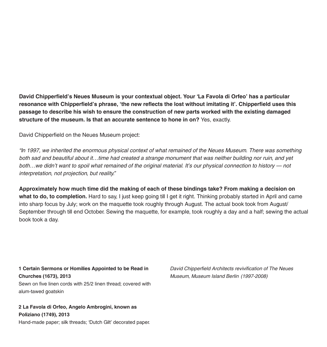**David Chipperfield's Neues Museum is your contextual object. Your 'La Favola di Orfeo' has a particular resonance with Chipperfield's phrase, 'the new reflects the lost without imitating it'. Chipperfield uses this passage to describe his wish to ensure the construction of new parts worked with the existing damaged structure of the museum. Is that an accurate sentence to hone in on?** Yes, exactly.

David Chipperfield on the Neues Museum project:

*"In 1997, we inherited the enormous physical context of what remained of the Neues Museum. There was something*  both sad and beautiful about it...time had created a strange monument that was neither building nor ruin, and yet *both…we didn't want to spoil what remained of the original material. It's our physical connection to history – not interpretation, not projection, but reality."*

**Approximately how much time did the making of each of these bindings take? From making a decision on**  what to do, to completion. Hard to say, I just keep going till I get it right. Thinking probably started in April and came into sharp focus by July; work on the maquette took roughly through August. The actual book took from August/ September through till end October. Sewing the maquette, for example, took roughly a day and a half; sewing the actual book took a day.

**1 Certain Sermons or Homilies Appointed to be Read in Churches (1673), 2013** Sewn on five linen cords with 25/2 linen thread; covered with alum-tawed goatskin

**2 La Favola di Orfeo, Angelo Ambrogini, known as Poliziano (1749), 2013** Hand-made paper; silk threads; 'Dutch Gilt' decorated paper. *David Chipperfield Architects revivification of The Neues Museum, Museum Island Berlin (1997-2008)*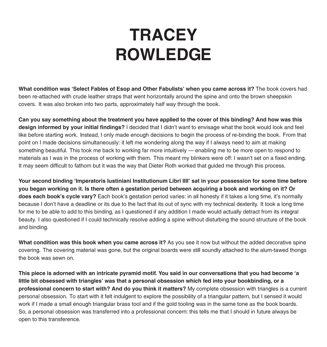# **TRACEY ROWLEDGE**

**What condition was 'Select Fables of Esop and Other Fabulists' when you came across it?** The book covers had been re-attached with crude leather straps that went horizontally around the spine and onto the brown sheepskin covers. It was also broken into two parts, approximately half way through the book.

**Can you say something about the treatment you have applied to the cover of this binding? And how was this design informed by your initial findings?** I decided that I didn't want to envisage what the book would look and feel like before starting work. Instead, I only made enough decisions to begin the process of re-binding the book. From that point on I made decisions simultaneously: it left me wondering along the way if I always need to aim at making something beautiful. This took me back to working far more intuitively – enabling me to be more open to respond to materials as I was in the process of working with them. This meant my blinkers were off: I wasn't set on a fixed ending. It may seem difficult to fathom but it was the way that Dieter Roth worked that guided me through this process.

**Your second binding 'Imperatoris Iustiniani Institutionum Libri IIII' sat in your possession for some time before you began working on it. Is there often a gestation period between acquiring a book and working on it? Or does each book's cycle vary?** Each book's gestation period varies: in all honesty if it takes a long time, it's normally because I don't have a deadline or its due to the fact that its out of sync with my technical dexterity. It took a long time for me to be able to add to this binding, as I questioned if any addition I made would actually detract from its integral beauty. I also questioned if I could technically resolve adding a spine without disturbing the sound structure of the book and binding.

**What condition was this book when you came across it?** As you see it now but without the added decorative spine covering. The covering material was gone, but the original boards were still soundly attached to the alum-tawed thongs the book was sewn on.

**This piece is adorned with an intricate pyramid motif. You said in our conversations that you had become 'a little bit obsessed with triangles' was that a personal obsession which fed into your bookbinding, or a professional concern to start with? And do you think it matters?** My complete obsession with triangles is a current personal obsession. To start with it felt indulgent to explore the possibility of a triangular pattern, but I sensed it would work if I made a small enough triangular brass tool and if the gold tooling was in the same tone as the book boards. So, a personal obsession was transferred into a professional concern: this tells me that I should in future always be open to this transference.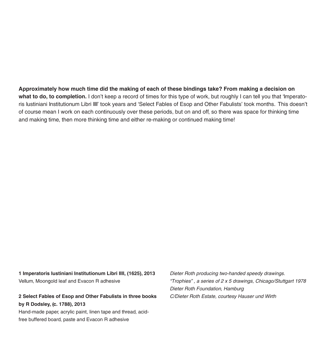**Approximately how much time did the making of each of these bindings take? From making a decision on what to do, to completion.** I don't keep a record of times for this type of work, but roughly I can tell you that 'Imperatoris Iustiniani Institutionum Libri IIII' took years and 'Select Fables of Esop and Other Fabulists' took months. This doesn't of course mean I work on each continuously over these periods, but on and off, so there was space for thinking time and making time, then more thinking time and either re-making or continued making time!

**1 Imperatoris Iustiniani Institutionum Libri IIII, (1625), 2013** Vellum, Moongold leaf and Evacon R adhesive

**2 Select Fables of Esop and Other Fabulists in three books by R Dodsley, (c. 1788), 2013**

Hand-made paper, acrylic paint, linen tape and thread, acidfree buffered board, paste and Evacon R adhesive

*Dieter Roth producing two-handed speedy drawings. "Trophies" , a series of 2 x 5 drawings, Chicago/Stuttgart 1978 Dieter Roth Foundation, Hamburg C/Dieter Roth Estate, courtesy Hauser und Wirth*